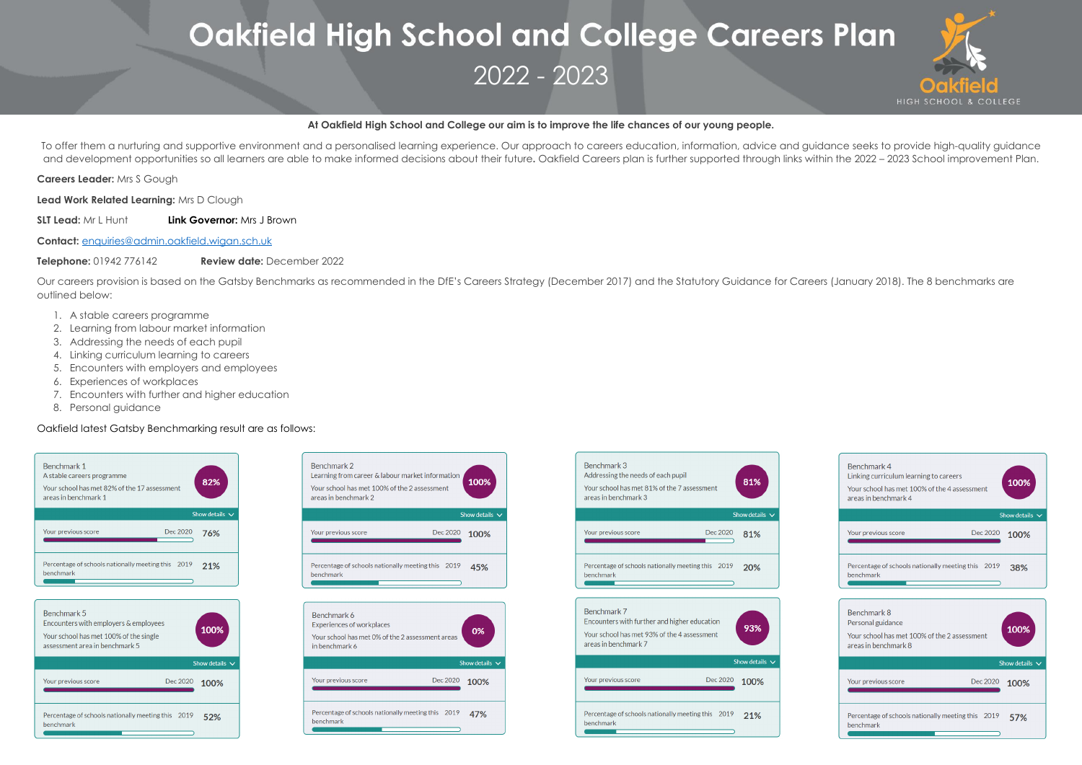## **At Oakfield High School and College our aim is to improve the life chances of our young people.**

To offer them a nurturing and supportive environment and a personalised learning experience. Our approach to careers education, information, advice and guidance seeks to provide high-quality guidance and development opportunities so all learners are able to make informed decisions about their future**.** Oakfield Careers plan is further supported through links within the 2022 – 2023 School improvement Plan.

**Careers Leader:** Mrs S Gough

**Lead Work Related Learning:** Mrs D Clough

**SLT Lead:** Mr L Hunt **Link Governor:** Mrs J Brown

**Contact:** [enquiries@admin.oakfield.wigan.sch.uk](mailto:enquiries@admin.oakfield.wigan.sch.uk)

# **Oakfield High School and College Careers Plan** 2022 - 2023

**Telephone:** 01942 776142 **Review date:** December 2022

Our careers provision is based on the Gatsby Benchmarks as recommended in the DfE's Careers Strategy (December 2017) and the Statutory Guidance for Careers (January 2018). The 8 benchmarks are outlined below:

- 1. A stable careers programme
- 2. Learning from labour market information
- 3. Addressing the needs of each pupil
- 4. Linking curriculum learning to careers
- 5. Encounters with employers and employees
- 6. Experiences of workplaces
- 7. Encounters with further and higher education
- 8. Personal guidance

## Oakfield latest Gatsby Benchmarking result are as follows:











| Benchmark 4<br>Linking curriculum learning to careers<br>Your school has met 100% of the 4 assessment<br>areas in benchmark 4 | 100%                |
|-------------------------------------------------------------------------------------------------------------------------------|---------------------|
|                                                                                                                               | Show details $\vee$ |
| Your previous score<br>Dec 2020                                                                                               | 100%                |
| Percentage of schools nationally meeting this 2019<br>benchmark                                                               | 38%                 |
|                                                                                                                               |                     |
| Benchmark 8<br>Personal guidance<br>Your school has met 100% of the 2 assessment<br>areas in benchmark 8                      | 100%                |
|                                                                                                                               | Show details $\vee$ |
| Your previous score<br>Dec 2020                                                                                               | 100%                |
| Percentage of schools nationally meeting this 2019<br>benchmark                                                               | 57%                 |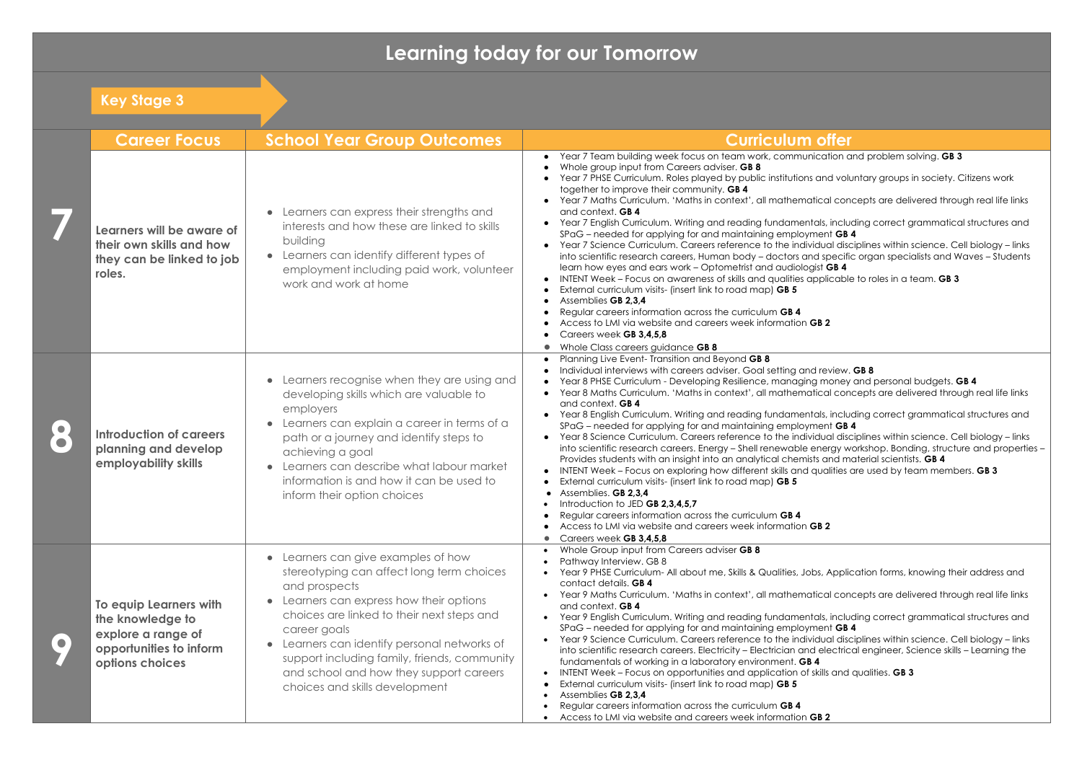## **Learning today for our Tomorrow**

|           | <b>Key Stage 3</b>                                                                                             |                                                                                                                                                                                                                                                                                                                                                                                    |                                                                                                                                                                                                                                                                                                                                                                                                                                                                                                                                                                                                                                                                                                                                                                                                                                                                                                                                                                                                                                                         |
|-----------|----------------------------------------------------------------------------------------------------------------|------------------------------------------------------------------------------------------------------------------------------------------------------------------------------------------------------------------------------------------------------------------------------------------------------------------------------------------------------------------------------------|---------------------------------------------------------------------------------------------------------------------------------------------------------------------------------------------------------------------------------------------------------------------------------------------------------------------------------------------------------------------------------------------------------------------------------------------------------------------------------------------------------------------------------------------------------------------------------------------------------------------------------------------------------------------------------------------------------------------------------------------------------------------------------------------------------------------------------------------------------------------------------------------------------------------------------------------------------------------------------------------------------------------------------------------------------|
|           | <b>Career Focus</b>                                                                                            | <b>School Year Group Outcomes</b>                                                                                                                                                                                                                                                                                                                                                  | <b>Curriculum offer</b>                                                                                                                                                                                                                                                                                                                                                                                                                                                                                                                                                                                                                                                                                                                                                                                                                                                                                                                                                                                                                                 |
|           | Learners will be aware of<br>their own skills and how<br>they can be linked to job<br>roles.                   | • Learners can express their strengths and<br>interests and how these are linked to skills<br>building<br>• Learners can identify different types of<br>employment including paid work, volunteer<br>work and work at home                                                                                                                                                         | Year 7 Team building week focus on team work, communication c<br>Whole group input from Careers adviser. GB 8<br>Year 7 PHSE Curriculum. Roles played by public institutions and volu<br>together to improve their community. GB 4<br>Year 7 Maths Curriculum. 'Maths in context', all mathematical con<br>and context. GB 4<br>Year 7 English Curriculum. Writing and reading fundamentals, inclu<br>SPaG – needed for applying for and maintaining employment GB<br>Year 7 Science Curriculum. Careers reference to the individual disc<br>into scientific research careers, Human body - doctors and specifi-<br>learn how eyes and ears work - Optometrist and audiologist GB 4<br>INTENT Week - Focus on awareness of skills and qualities applicable<br>External curriculum visits- (insert link to road map) GB 5<br>Assemblies GB 2,3,4<br>Regular careers information across the curriculum GB 4<br>Access to LMI via website and careers week information GB 2<br>Careers week GB 3,4,5,8                                                     |
| $\bullet$ | <b>Introduction of careers</b><br>planning and develop<br>employability skills                                 | Learners recognise when they are using and<br>developing skills which are valuable to<br>employers<br>Learners can explain a career in terms of a<br>path or a journey and identify steps to<br>achieving a goal<br>Learners can describe what labour market<br>information is and how it can be used to<br>inform their option choices                                            | Whole Class careers guidance GB 8<br>Planning Live Event- Transition and Beyond GB 8<br>Individual interviews with careers adviser. Goal setting and review.<br>Year 8 PHSE Curriculum - Developing Resilience, managing money<br>Year 8 Maths Curriculum. 'Maths in context', all mathematical con<br>and context. GB 4<br>Year 8 English Curriculum. Writing and reading fundamentals, inclu<br>SPaG – needed for applying for and maintaining employment GB<br>Year 8 Science Curriculum. Careers reference to the individual disc<br>$\bullet$<br>into scientific research careers. Energy - Shell renewable energy w<br>Provides students with an insight into an analytical chemists and m<br>INTENT Week - Focus on exploring how different skills and qualities<br>External curriculum visits- (insert link to road map) GB 5<br>• Assemblies. GB 2,3,4<br>Introduction to JED GB 2,3,4,5,7<br>Regular careers information across the curriculum GB 4<br>Access to LMI via website and careers week information GB 2<br>Careers week GB 3,4,5,8 |
|           | To equip Learners with<br>the knowledge to<br>explore a range of<br>opportunities to inform<br>options choices | Learners can give examples of how<br>stereotyping can affect long term choices<br>and prospects<br>Learners can express how their options<br>choices are linked to their next steps and<br>career goals<br>Learners can identify personal networks of<br>support including family, friends, community<br>and school and how they support careers<br>choices and skills development | Whole Group input from Careers adviser GB 8<br>Pathway Interview. GB 8<br>Year 9 PHSE Curriculum- All about me, Skills & Qualities, Jobs, Applia<br>contact details. GB 4<br>Year 9 Maths Curriculum. 'Maths in context', all mathematical con<br>and context. GB 4<br>Year 9 English Curriculum. Writing and reading fundamentals, inclu<br>SPaG – needed for applying for and maintaining employment GB<br>Year 9 Science Curriculum. Careers reference to the individual disc<br>into scientific research careers. Electricity - Electrician and electric<br>fundamentals of working in a laboratory environment. GB 4<br>INTENT Week - Focus on opportunities and application of skills and<br>External curriculum visits- (insert link to road map) GB 5<br>Assemblies GB 2,3,4<br>Regular careers information across the curriculum GB 4<br>Access to LMI via website and careers week information GB 2                                                                                                                                           |

ication and problem solving. **GB 3** 

and voluntary groups in society. Citizens work

tical concepts are delivered through real life links

rals, including correct grammatical structures and nent **GB 4** 

idual disciplines within science. Cell biology – links d specific organ specialists and Waves – Students aist **GB 4** 

pplicable to roles in a team. **GB 3** 

review. **GB 8** 

money and personal budgets. **GB 4** 

tical concepts are delivered through real life links

als, including correct grammatical structures and nent **GB 4** 

idual disciplines within science. Cell biology – links energy workshop. Bonding, structure and properties – ts and material scientists. **GB 4** 

qualities are used by team members. **GB 3** 

os, Application forms, knowing their address and

tical concepts are delivered through real life links

rals, including correct grammatical structures and nent **GB 4** 

idual disciplines within science. Cell biology – links lelectrical engineer, Science skills – Learning the

skills and qualities. **GB 3**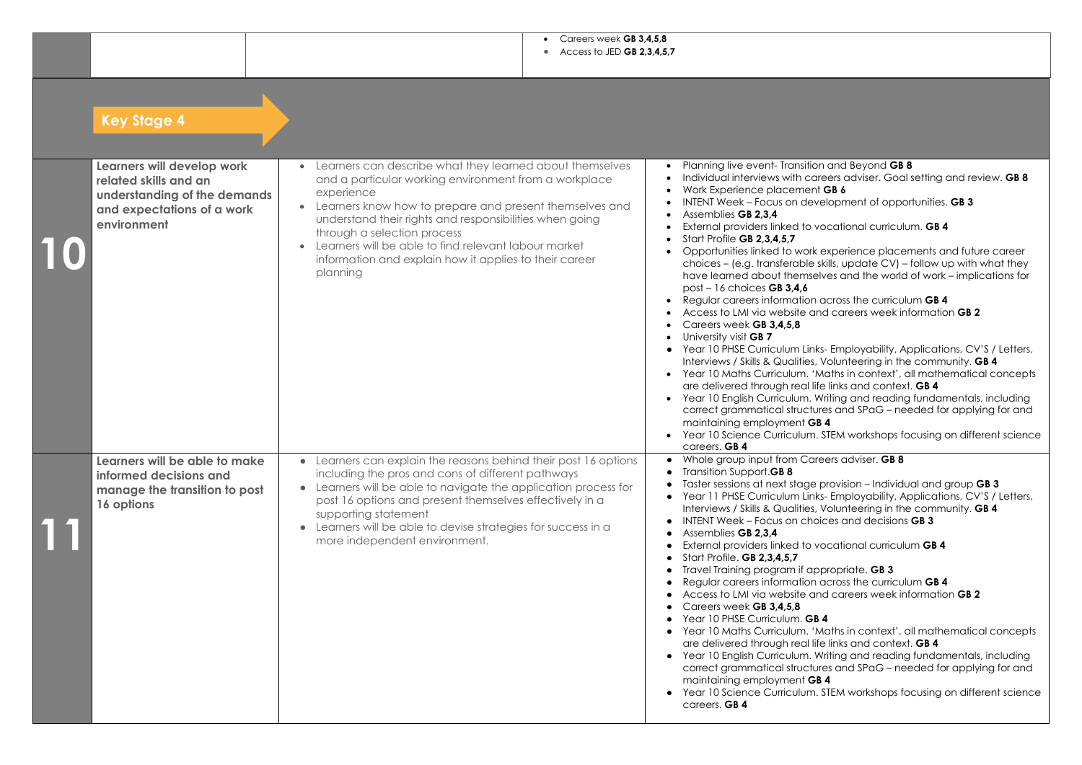• Careers week **GB 3,4,5,8** • Access to JED **GB 2,3,4,5,7**

> • Planning live event- Transition and Beyond **GB 8** reers adviser. Goal setting and review. **GB 8** • Work Experience placement **GB 6** *elopment of opportunities. GB 3*

ocational curriculum. **GB 4** 

experience placements and future career skills, update CV) – follow up with what they lves and the world of work – implications for

across the curriculum **GB 4** • Access to LMI via website and careers week information **GB 2**

s- Employability, Applications, CV'S / Letters, Volunteering in the community. **GB 4** Maths in context', all mathematical concepts fe links and context. **GB 4** 

Vriting and reading fundamentals, including res and SPaG – needed for applying for and

. STEM workshops focusing on different science

**ble group in product from B** 

provision – Individual and group **GB 3** ks- Employability, Applications, CV'S / Letters, Volunteering in the community. **GB 4**  $\frac{1}{10}$  intersections **GB 3** 

ocational curriculum **GB 4** 

opropriate. **GB 3** across the curriculum **GB 4** ● Access to LMI via website and careers week information **GB 2**

Maths in context', all mathematical concepts fe links and context. **GB 4** 

Writing and reading fundamentals, including  $r$  are grammatical structures and SPaG – needed for applying for and

. STEM workshops focusing on different science

| Learners will develop work<br>related skills and an<br>understanding of the demands<br>and expectations of a work<br>environment | Learners can describe what they learned about themselves<br>and a particular working environment from a workplace<br>experience<br>Learners know how to prepare and present themselves and<br>understand their rights and responsibilities when going<br>through a selection process<br>Learners will be able to find relevant labour market<br>information and explain how it applies to their career<br>planning |           | Planning live event- Transition of<br>Individual interviews with care<br>Work Experience placement G<br><b>INTENT Week - Focus on develo</b><br>Assemblies GB 2,3,4<br>External providers linked to voo<br>Start Profile GB 2,3,4,5,7<br>Opportunities linked to work ex<br>choices - (e.g. transferable skil<br>have learned about themselve<br>$post - 16$ choices GB 3,4,6<br>Regular careers information ad<br>Access to LMI via website and<br>Careers week GB 3,4,5,8<br>University visit GB 7<br>Year 10 PHSE Curriculum Links-<br>Interviews / Skills & Qualities, Vo<br>Year 10 Maths Curriculum. 'Ma<br>are delivered through real life<br>Year 10 English Curriculum. Wri<br>correct grammatical structures<br>maintaining employment GB 4<br>Year 10 Science Curriculum. ST<br>careers. GB 4 |
|----------------------------------------------------------------------------------------------------------------------------------|--------------------------------------------------------------------------------------------------------------------------------------------------------------------------------------------------------------------------------------------------------------------------------------------------------------------------------------------------------------------------------------------------------------------|-----------|----------------------------------------------------------------------------------------------------------------------------------------------------------------------------------------------------------------------------------------------------------------------------------------------------------------------------------------------------------------------------------------------------------------------------------------------------------------------------------------------------------------------------------------------------------------------------------------------------------------------------------------------------------------------------------------------------------------------------------------------------------------------------------------------------------|
| Learners will be able to make<br>informed decisions and<br>manage the transition to post<br>16 options                           | • Learners can explain the reasons behind their post 16 options<br>including the pros and cons of different pathways<br>Learners will be able to navigate the application process for<br>post 16 options and present themselves effectively in a<br>supporting statement<br>Learners will be able to devise strategies for success in a<br>more independent environment.                                           | $\bullet$ | Whole group input from Caree<br>Transition Support.GB 8<br>Taster sessions at next stage pr<br>Year 11 PHSE Curriculum Links-<br>Interviews / Skills & Qualities, Vo<br>INTENT Week - Focus on choic<br>Assemblies GB 2,3,4<br>External providers linked to voo<br>Start Profile. GB 2,3,4,5,7<br>Travel Training program if appr<br>Regular careers information ad<br>Access to LMI via website and<br>Careers week GB 3,4,5,8<br>Year 10 PHSE Curriculum. GB 4<br>Year 10 Maths Curriculum. 'Mo<br>are delivered through real life<br>Year 10 English Curriculum. Wri<br>correct grammatical structures<br>maintaining employment GB 4<br>Year 10 Science Curriculum. ST<br>careers. GB 4                                                                                                              |

|--|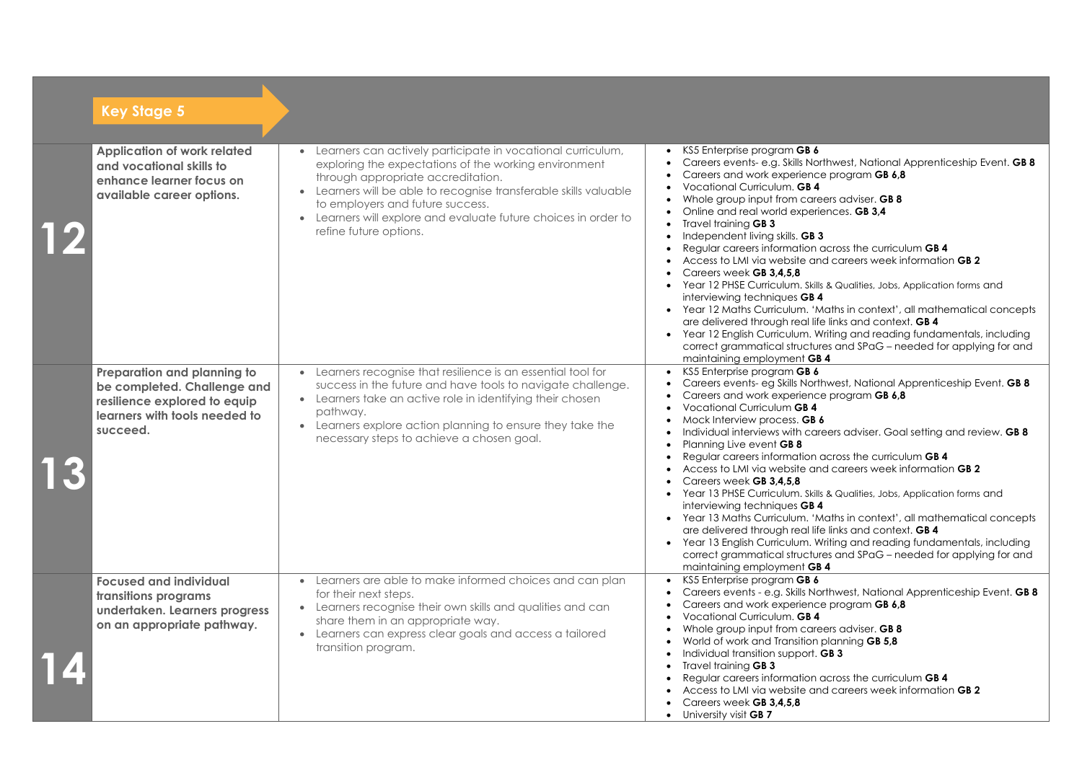across the curriculum **GB 4** • Access to LMI via website and careers week information **GB 2**

Ils & Qualities, Jobs, Application forms and

Maths in context', all mathematical concepts fe links and context. **GB 4** 

writing and reading fundamentals, including  $\alpha$  and SPaG – needed for applying for and

thwest, National Apprenticeship Event. **GB 8** e program **GB 6,8** 

reers adviser. Goal setting and review. **GB 8** 

across the curriculum **GB 4** • Access to LMI via website and careers week information **GB 2**

Ils & Qualities, Jobs, Application forms and

Maths in context', all mathematical concepts fe links and context. **GB 4** 

writing and reading fundamentals, including  $\alpha$  and SPaG – needed for applying for and

erthwest, National Apprenticeship Event. **GB 8** e program **GB 6,8** 

eers adviser. **GB 8** 

planning **GB 5,8** 

across the curriculum **GB 4** • Access to LMI via website and careers week information **GB 2**

| <b>Key Stage 5</b>                                                                                                                      |                                                                                                                                                                                                                                                                                                                                                                           |                                                                                                                                                                                                                                                                                                                                                                                                                                                                                                                                                                                                                     |
|-----------------------------------------------------------------------------------------------------------------------------------------|---------------------------------------------------------------------------------------------------------------------------------------------------------------------------------------------------------------------------------------------------------------------------------------------------------------------------------------------------------------------------|---------------------------------------------------------------------------------------------------------------------------------------------------------------------------------------------------------------------------------------------------------------------------------------------------------------------------------------------------------------------------------------------------------------------------------------------------------------------------------------------------------------------------------------------------------------------------------------------------------------------|
|                                                                                                                                         |                                                                                                                                                                                                                                                                                                                                                                           |                                                                                                                                                                                                                                                                                                                                                                                                                                                                                                                                                                                                                     |
| <b>Application of work related</b><br>and vocational skills to<br>enhance learner focus on<br>available career options.                 | Learners can actively participate in vocational curriculum,<br>exploring the expectations of the working environment<br>through appropriate accreditation.<br>Learners will be able to recognise transferable skills valuable<br>$\bullet$<br>to employers and future success.<br>Learners will explore and evaluate future choices in order to<br>refine future options. | KS5 Enterprise program GB 6<br>$\bullet$<br>Careers events- e.g. Skills North<br>Careers and work experience<br>Vocational Curriculum. GB 4<br>Whole group input from caree<br>Online and real world experier<br>Travel training GB 3<br>Independent living skills. GB 3<br>Regular careers information ad<br>Access to LMI via website and<br>Careers week GB 3,4,5,8<br>Year 12 PHSE Curriculum. Skills 8<br>interviewing techniques GB 4<br>Year 12 Maths Curriculum. 'Mo<br>are delivered through real life<br>Year 12 English Curriculum. Wri<br>correct grammatical structures<br>maintaining employment GB 4 |
| Preparation and planning to<br>be completed. Challenge and<br>resilience explored to equip<br>learners with tools needed to<br>succeed. | Learners recognise that resilience is an essential tool for<br>success in the future and have tools to navigate challenge.<br>Learners take an active role in identifying their chosen<br>pathway.<br>Learners explore action planning to ensure they take the<br>$\bullet$<br>necessary steps to achieve a chosen goal.                                                  | KS5 Enterprise program GB 6<br>$\bullet$<br>Careers events- eg Skills Northy<br>Careers and work experience<br>Vocational Curriculum GB 4<br>Mock Interview process. GB 6<br>Individual interviews with care<br>Planning Live event GB 8<br>Regular careers information ad<br>Access to LMI via website and<br>Careers week GB 3,4,5,8<br>Year 13 PHSE Curriculum. Skills &<br>interviewing techniques GB 4<br>Year 13 Maths Curriculum. 'Mo<br>$\bullet$<br>are delivered through real life<br>Year 13 English Curriculum. Wri<br>correct grammatical structures<br>maintaining employment GB 4                    |
| <b>Focused and individual</b><br>transitions programs<br>undertaken. Learners progress<br>on an appropriate pathway.                    | Learners are able to make informed choices and can plan<br>for their next steps.<br>Learners recognise their own skills and qualities and can<br>$\bullet$<br>share them in an appropriate way.<br>Learners can express clear goals and access a tailored<br>transition program.                                                                                          | KS5 Enterprise program GB 6<br>Careers events - e.g. Skills Nort<br>Careers and work experience<br>Vocational Curriculum. GB 4<br>Whole group input from caree<br>World of work and Transition pl<br>Individual transition support. G<br>Travel training GB 3<br>Regular careers information ad<br>Access to LMI via website and<br>Careers week GB 3,4,5,8<br>University visit GB 7                                                                                                                                                                                                                                |

erthwest, National Apprenticeship Event. **GB 8** e program **GB 6,8** 

eers adviser. **GB 8** fiences. **GB 3,4** 

## • Individual transition support. **GB 3**